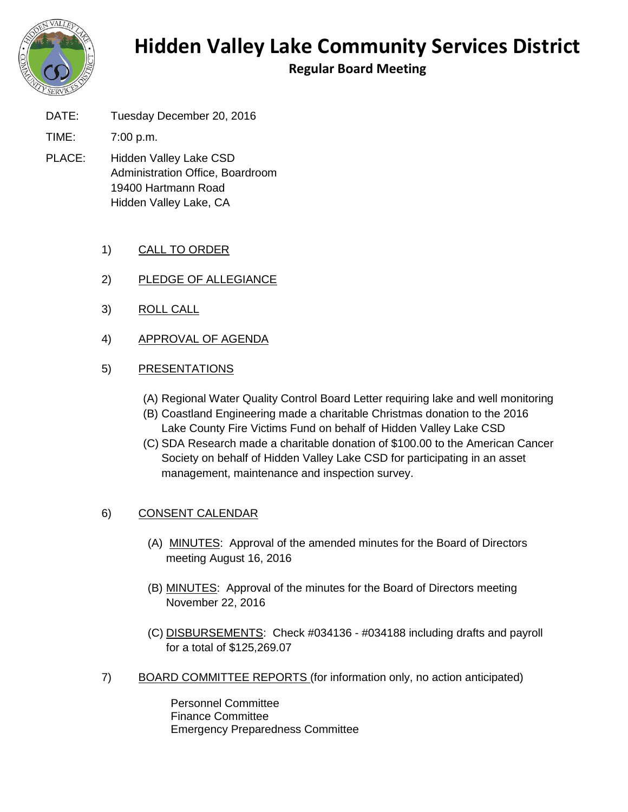

## **Hidden Valley Lake Community Services District**

**Regular Board Meeting**

DATE: Tuesday December 20, 2016

TIME: 7:00 p.m.

- PLACE: Hidden Valley Lake CSD Administration Office, Boardroom 19400 Hartmann Road Hidden Valley Lake, CA
	- 1) CALL TO ORDER
	- 2) PLEDGE OF ALLEGIANCE
	- 3) ROLL CALL
	- 4) APPROVAL OF AGENDA

## 5) PRESENTATIONS

- (A) Regional Water Quality Control Board Letter requiring lake and well monitoring
- (B) Coastland Engineering made a charitable Christmas donation to the 2016 Lake County Fire Victims Fund on behalf of Hidden Valley Lake CSD
- (C) SDA Research made a charitable donation of \$100.00 to the American Cancer Society on behalf of Hidden Valley Lake CSD for participating in an asset management, maintenance and inspection survey.

## 6) CONSENT CALENDAR

- (A) MINUTES: Approval of the amended minutes for the Board of Directors meeting August 16, 2016
- (B) MINUTES: Approval of the minutes for the Board of Directors meeting November 22, 2016
- (C) DISBURSEMENTS: Check #034136 #034188 including drafts and payroll for a total of \$125,269.07
- 7) BOARD COMMITTEE REPORTS (for information only, no action anticipated)

Personnel Committee Finance Committee Emergency Preparedness Committee